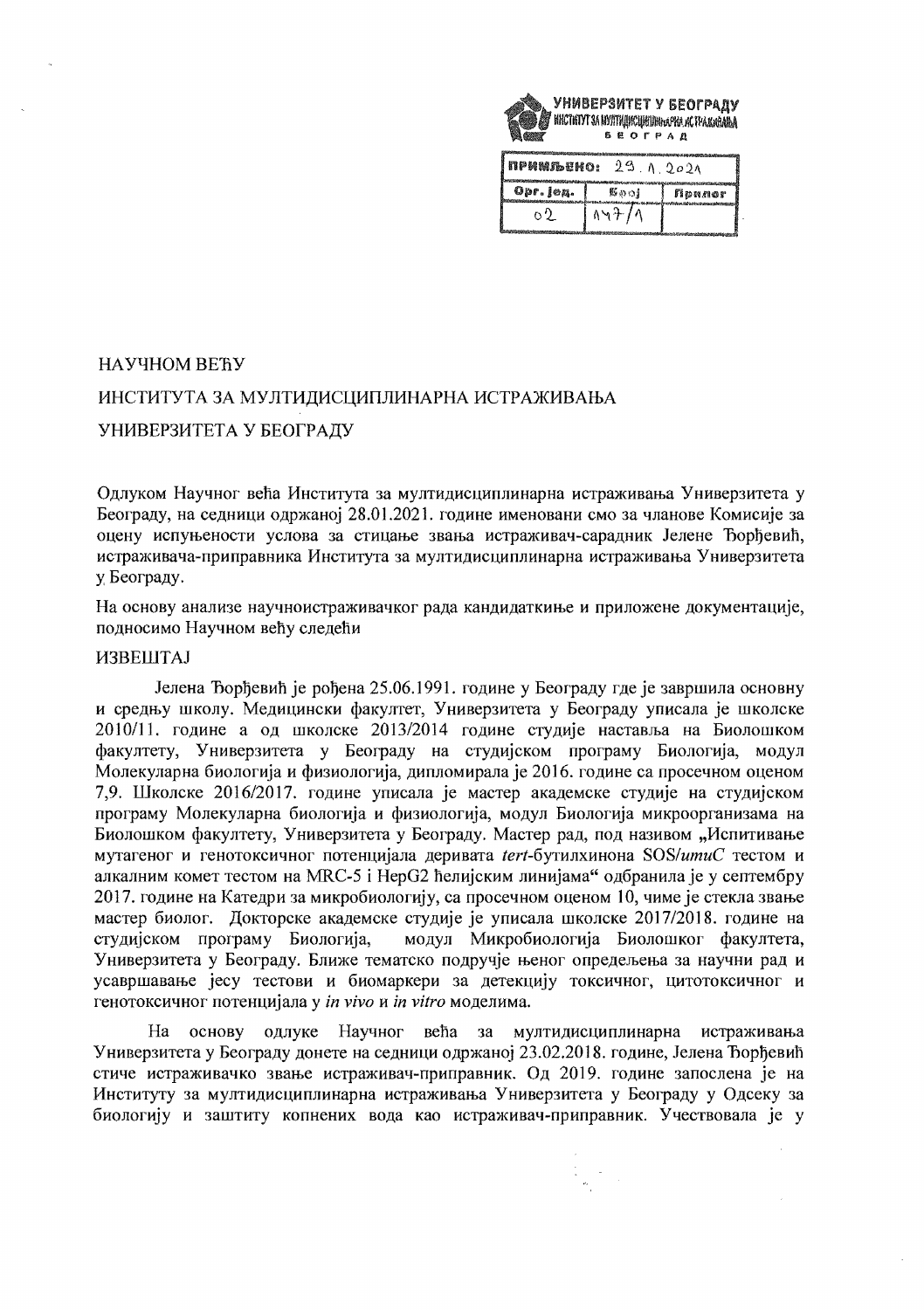

| ПРИМЛЬЕНО:<br>29.<br>$\Lambda$ 202 $\Lambda$<br><b>Confumers</b> |       |                                        |
|------------------------------------------------------------------|-------|----------------------------------------|
| Opr. jeg.                                                        | 影ののま  | Nonnor<br>as Nika Muniyasa cadamata ka |
| o 9.                                                             | 147/1 |                                        |

## НАУЧНОМ ВЕЋУ

## ИНСТИТУТА ЗА МУЛТИДИСЦИПЛИНАРНА ИСТРАЖИВАЊА

УНИВЕРЗИТЕТА У БЕОГРАДУ

Одлуком Научног већа Института за мултидисциплинарна истраживања Универзитета у Београду, на седници одржаној 28.01.2021. године именовани смо за чланове Комисије за оцену испуњености услова за стицање звања истраживач-сарадник Јелене Ђорђевић, истраживача-приправника Института за мултидисциплинарна истраживања Универзитета у Београду.

На основу анализе научноистраживачког рада кандидаткиње и приложене документације, подносимо Научном већу следећи

## ИЗВЕШТАЈ

Јелена Ђорђевић је рођена 25.06.1991. године у Београду где је завршила основну и средњу школу. Медицински факултет, Универзитета у Београду уписала је школске 2010/11. године а од школске 2013/2014 године студије наставља на Биолошком факултету, Универзитета у Београду на студијском програму Биологија, модул Молекуларна биологија и физиологија, дипломирала је 2016. године са просечном оценом 7,9. Школске 2016/2017. године уписала је мастер академске студије на студијском програму Молекуларна биологија и физиологија, модул Биологија микроорганизама на Биолошком факултету, Универзитета у Београду. Мастер рад, под називом "Испитивање мутагеног и генотоксичног потенцијала деривата tert-бутилхинона SOS/umuC тестом и алкалним комет тестом на MRC-5 і НерG2 ћелијским линијама" одбранила је у септембру 2017. године на Катедри за микробиологију, са просечном оценом 10, чиме је стекла звање мастер биолог. Докторске академске студије је уписала школске 2017/2018. године на студијском програму Биологија, модул Микробиологија Биолошког факултета, Универзитета у Београду. Ближе тематско подручје њеног опредељења за научни рад и усавршавање јесу тестови и биомаркери за детекцију токсичног, цитотоксичног и генотоксичног потенцијала у in vivo и in vitro моделима.

већа за мултидисциплинарна Ha основу одлуке Научног истраживања Универзитета у Београду донете на седници одржаној 23.02.2018. године, Јелена Ђорђевић стиче истраживачко звање истраживач-приправник. Од 2019. године запослена је на Институту за мултидисциплинарна истраживања Универзитета у Београду у Одсеку за биологију и заштиту копнених вода као истраживач-приправник. Учествовала је у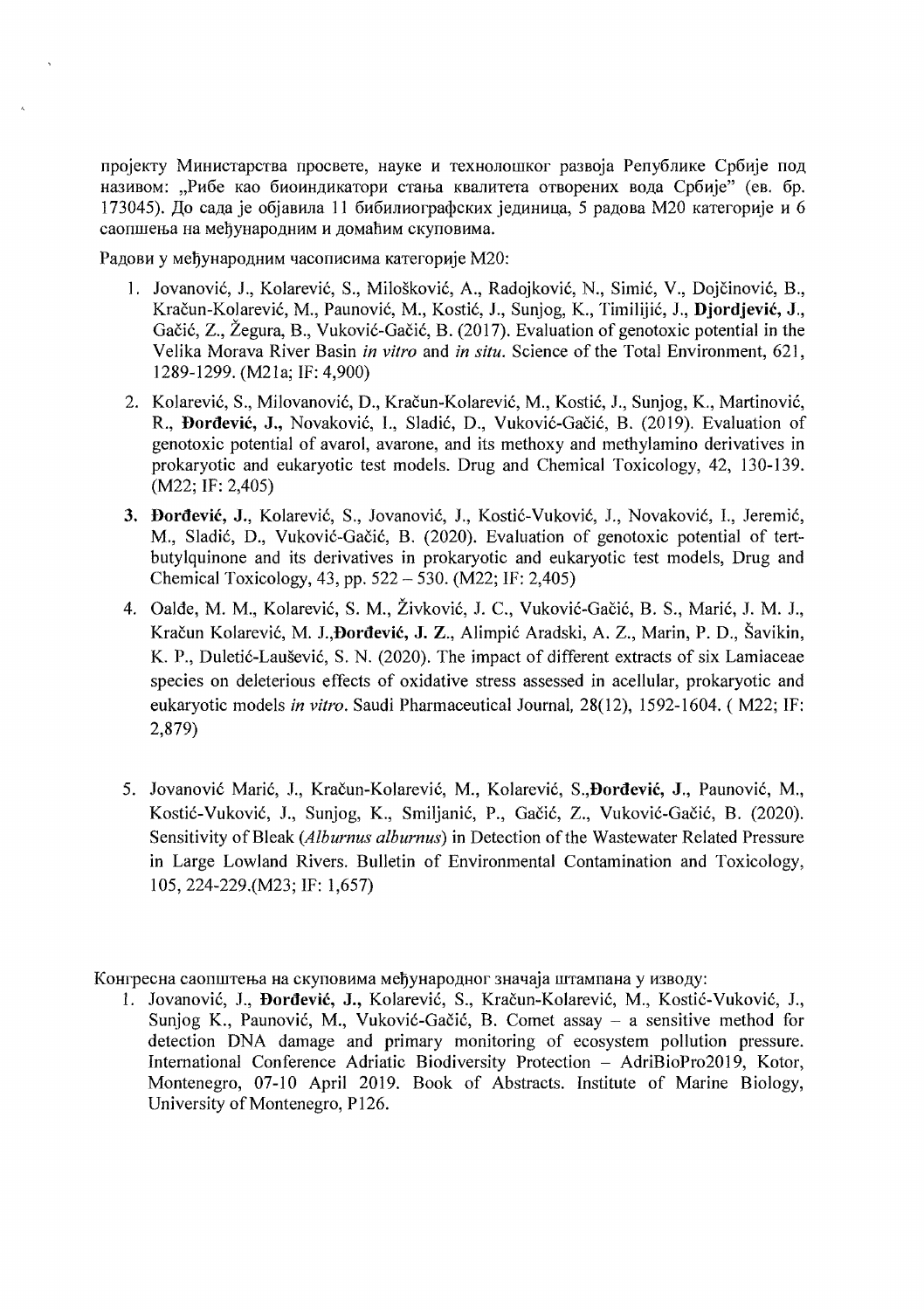пројекту Министарства просвете, науке и технолошког развоја Републике Србије под називом: "Рибе као биоиндикатори стања квалитета отворених вода Србије" (ев. бр. 173045). До сала је објавила 11 бибилиографских јединица. 5 радова М20 категорије и 6 саопшења на мећународним и домаћим скуповима.

Радови у међународним часописима категорије М20:

- 1. Jovanović, J., Kolarević, S., Milošković, A., Radojković, N., Simić, V., Dojčinović, B., Kracun-Kolarevic, M., Paunovic, M., Kostic, J., Sunjog, K., Timilijic, J., Djordjevic, J., Gacic, Z., Zegura, B., Vukovic-Gacic, B. (2017). Evaluation of genotoxic potential in the Velika Morava River Basin *in vitro* and *in situ.* Science of the Total Environment, 621, 1289-1299. (M21a; IF: 4,900)
- 2. Kolarević, S., Milovanović, D., Kračun-Kolarević, M., Kostić, J., Sunjog, K., Martinović, R., Dordevic, J., Novakovic, I., Sladic, D., Vukovic-Gacic, B. (2019). Evaluation of genotoxic potential of avarol, avarone, and its methoxy and methylamino derivatives in prokaryotic and eukaryotic test models. Drug and Chemical Toxicology, 42, 130-139. (M22; IF: 2,405)
- 3. Đorđević, J., Kolarević, S., Jovanović, J., Kostić-Vuković, J., Novaković, I., Jeremić, M., Sladić, D., Vuković-Gačić, B. (2020). Evaluation of genotoxic potential of tertbutylquinone and its derivatives in prokaryotic and eukaryotic test models, Drug and Chemical Toxicology, 43, pp.  $522 - 530$ . (M22; IF: 2,405)
- 4. Oalđe, M. M., Kolarević, S. M., Živković, J. C., Vuković-Gačić, B. S., Marić, J. M. J., Kracun Kolarevic, M. 1.,Dordevic, J. Z., Alimpic Aradski, A. Z., Marin, P. D., Savikin, K. P., Duletić-Laušević, S. N. (2020). The impact of different extracts of six Lamiaceae species on deleterious effects of oxidative stress assessed in acellular, prokaryotic and eukaryotic models *in vitro.* Saudi Pharmaceutical Journal, 28(12), 1592-1604. ( M22; IF: 2,879)
- 5. Jovanović Marić, J., Kračun-Kolarević, M., Kolarević, S., Đorđević, J., Paunović, M., Kostić-Vuković, J., Sunjog, K., Smiljanić, P., Gačić, Z., Vuković-Gačić, B. (2020). Sensitivity of Bleak (Alburnus alburnus) in Detection of the Wastewater Related Pressure in Large Lowland Rivers. Bulletin of Environmental Contamination and Toxicology, 105, 224-229.(M23; IF: 1,657)

Конгресна саопштења на скуповима међународног значаја штампана у изводу:

1. Jovanović, J., Đorđević, J., Kolarević, S., Kračun-Kolarević, M., Kostić-Vuković, J., Sunjog K., Paunović, M., Vuković-Gačić, B. Comet assay  $-$  a sensitive method for detection DNA damage and primary monitoring of ecosystem pollution pressure. International Conference Adriatic Biodiversity Protection - AdriBioPro2019, Kotor, Montenegro, 07-10 April 2019. Book of Abstracts. Institute of Marine Biology, University of Montenegro, P126.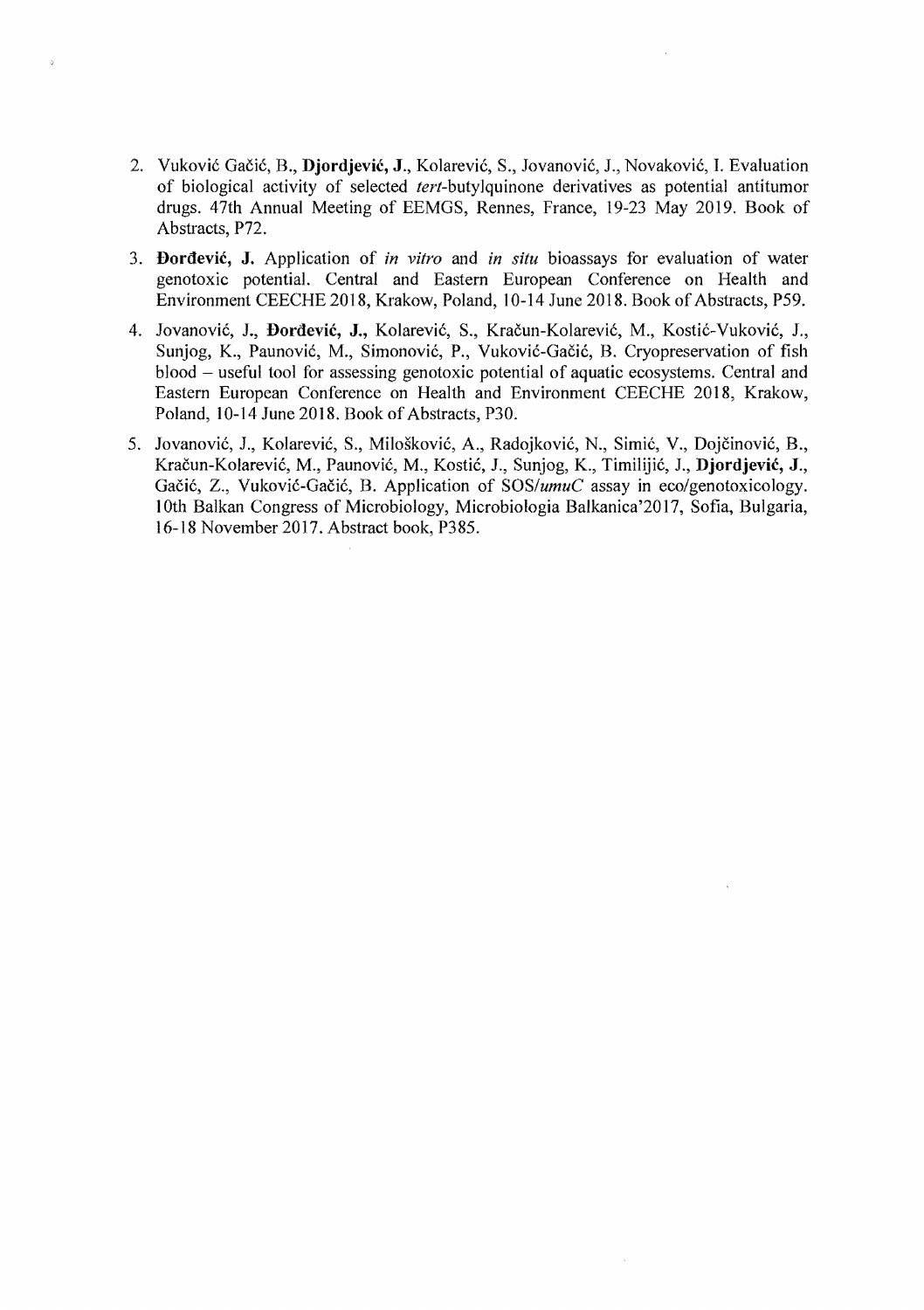2. Vukovic Gacic, B., **Djordjevic,** J., Kolarevic, S., Jovanovic, 1., Novakovic, I. Evaluation of biological activity of selected *tert-butylquinone* derivatives as potential antitumor drugs. 47th Annual Meeting of EEMGS, Rennes, France, 19-23 May 2019. Book of Abstracts, P72.

 $\bar{\alpha}$ 

- 3. **I)ordevic, J.** Application of *in vitro* and *in situ* bioassays for evaluation of water genotoxic potential. Central and Eastern European Conference on Health and Environment CEECHE 2018, Krakow, Poland, 10-14 June 2018. Book of Abstracts, P59.
- 4. Jovanović, J., Đorđević, J., Kolarević, S., Kračun-Kolarević, M., Kostić-Vuković, J., Sunjog, K., Paunovic, M., Simonovic, P., Vukovic-Gacic, B. Cryopreservation of fish blood - useful tool for assessing genotoxic potential of aquatic ecosystems. Central and Eastern European Conference on Health and Environment CEECHE 2018, Krakow, Poland, 10-14 June 2018. Book of Abstracts, P30.
- 5. Jovanović, J., Kolarević, S., Milošković, A., Radojković, N., Simić, V., Dojčinović, B., Kracun-Kolarevic, M., Paunovic, M., Kostic, J., Sunjog, K., Timilijic, 1., **Djordjevic,** J., Gačić, Z., Vuković-Gačić, B. Application of *SOS/umuC* assay in eco/genotoxicology. 10th Balkan Congress of Microbiology, Microbiologia Balkanica'20 17, Sofia, Bulgaria, 16-18 November 2017. Abstract book, P385.